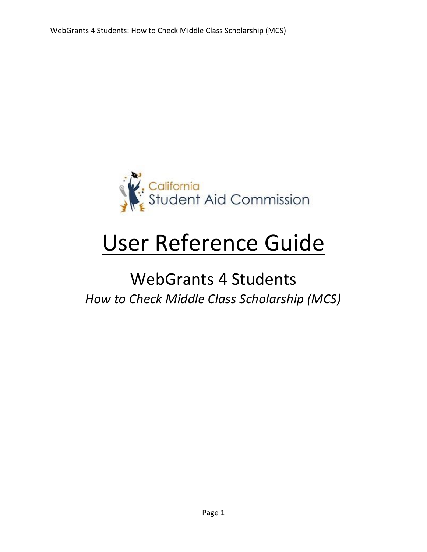

# User Reference Guide

# WebGrants 4 Students *How to Check Middle Class Scholarship (MCS)*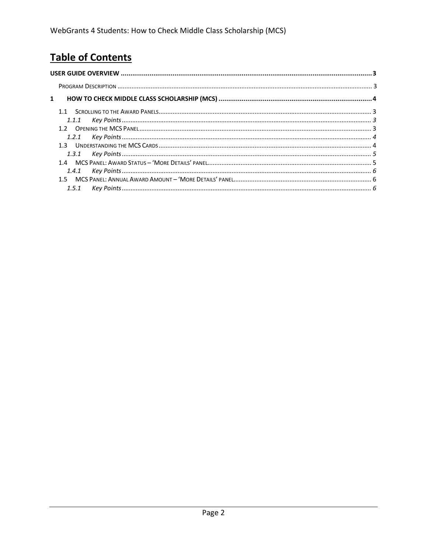# **Table of Contents**

| $\mathbf{1}$ |  |
|--------------|--|
|              |  |
|              |  |
|              |  |
|              |  |
|              |  |
|              |  |
|              |  |
|              |  |
|              |  |
|              |  |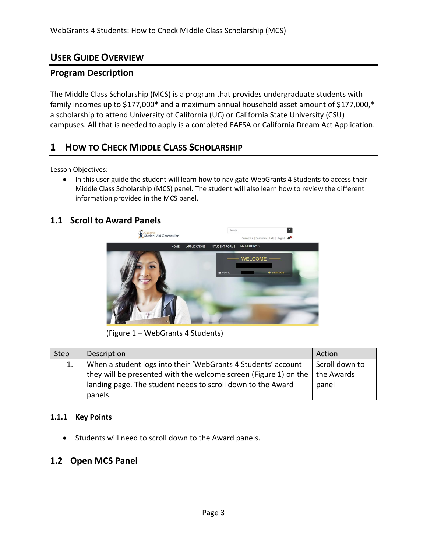#### <span id="page-2-0"></span>**USER GUIDE OVERVIEW**

#### <span id="page-2-1"></span>**Program Description**

The Middle Class Scholarship (MCS) is a program that provides undergraduate students with family incomes up to \$177,000\* and a maximum annual household asset amount of \$177,000,\* a scholarship to attend University of California (UC) or California State University (CSU) campuses. All that is needed to apply is a completed FAFSA or California Dream Act Application.

## **1 HOW TO CHECK MIDDLE CLASS SCHOLARSHIP**

Lesson Objectives:

• In this user guide the student will learn how to navigate WebGrants 4 Students to access their Middle Class Scholarship (MCS) panel. The student will also learn how to review the different information provided in the MCS panel.

#### **1.1 Scroll to Award Panels**



(Figure 1 – WebGrants 4 Students)

| Step | Description                                                      | Action         |  |
|------|------------------------------------------------------------------|----------------|--|
|      | When a student logs into their 'WebGrants 4 Students' account    | Scroll down to |  |
|      | they will be presented with the welcome screen (Figure 1) on the | the Awards     |  |
|      | landing page. The student needs to scroll down to the Award      | panel          |  |
|      | panels.                                                          |                |  |

#### <span id="page-2-2"></span>**1.1.1 Key Points**

• Students will need to scroll down to the Award panels.

#### **1.2 Open MCS Panel**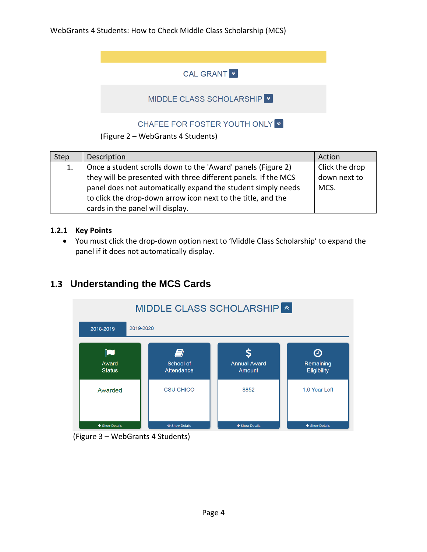#### **CAL GRANT**

#### MIDDLE CLASS SCHOLARSHIP

#### CHAFEE FOR FOSTER YOUTH ONLY

#### (Figure 2 – WebGrants 4 Students)

| Click the drop<br>Once a student scrolls down to the 'Award' panels (Figure 2)<br>1.<br>they will be presented with three different panels. If the MCS<br>down next to<br>panel does not automatically expand the student simply needs<br>MCS.<br>to click the drop-down arrow icon next to the title, and the | Step | Description                      | Action |
|----------------------------------------------------------------------------------------------------------------------------------------------------------------------------------------------------------------------------------------------------------------------------------------------------------------|------|----------------------------------|--------|
|                                                                                                                                                                                                                                                                                                                |      | cards in the panel will display. |        |

#### <span id="page-3-0"></span>**1.2.1 Key Points**

• You must click the drop-down option next to 'Middle Class Scholarship' to expand the panel if it does not automatically display.

## **1.3 Understanding the MCS Cards**



(Figure 3 – WebGrants 4 Students)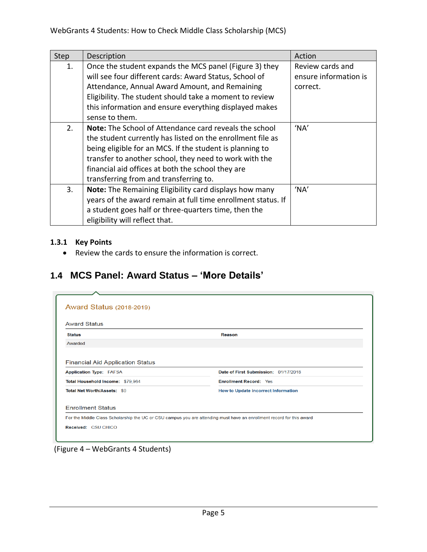| Step | Description                                                                                                                                                                                                                                                                                                                                      | Action                                                |
|------|--------------------------------------------------------------------------------------------------------------------------------------------------------------------------------------------------------------------------------------------------------------------------------------------------------------------------------------------------|-------------------------------------------------------|
| 1.   | Once the student expands the MCS panel (Figure 3) they<br>will see four different cards: Award Status, School of<br>Attendance, Annual Award Amount, and Remaining<br>Eligibility. The student should take a moment to review<br>this information and ensure everything displayed makes<br>sense to them.                                        | Review cards and<br>ensure information is<br>correct. |
| 2.   | <b>Note:</b> The School of Attendance card reveals the school<br>the student currently has listed on the enrollment file as<br>being eligible for an MCS. If the student is planning to<br>transfer to another school, they need to work with the<br>financial aid offices at both the school they are<br>transferring from and transferring to. | 'NA'                                                  |
| 3.   | Note: The Remaining Eligibility card displays how many<br>years of the award remain at full time enrollment status. If<br>a student goes half or three-quarters time, then the<br>eligibility will reflect that.                                                                                                                                 | 'NA'                                                  |

#### <span id="page-4-0"></span>**1.3.1 Key Points**

• Review the cards to ensure the information is correct.

# **1.4 MCS Panel: Award Status – 'More Details'**

| <b>Award Status</b>                                                                                               |                                            |  |  |  |  |  |  |
|-------------------------------------------------------------------------------------------------------------------|--------------------------------------------|--|--|--|--|--|--|
| <b>Status</b>                                                                                                     | Reason                                     |  |  |  |  |  |  |
| Awarded                                                                                                           |                                            |  |  |  |  |  |  |
| <b>Financial Aid Application Status</b><br>Date of First Submission: 01/17/2018<br><b>Application Type: FAFSA</b> |                                            |  |  |  |  |  |  |
| <b>Enrollment Record: Yes</b><br>Total Household Income: \$79,964                                                 |                                            |  |  |  |  |  |  |
|                                                                                                                   |                                            |  |  |  |  |  |  |
| Total Net Worth/Assets: \$0                                                                                       | <b>How to Update incorrect Information</b> |  |  |  |  |  |  |
| <b>Enrollment Status</b>                                                                                          |                                            |  |  |  |  |  |  |

(Figure 4 – WebGrants 4 Students)